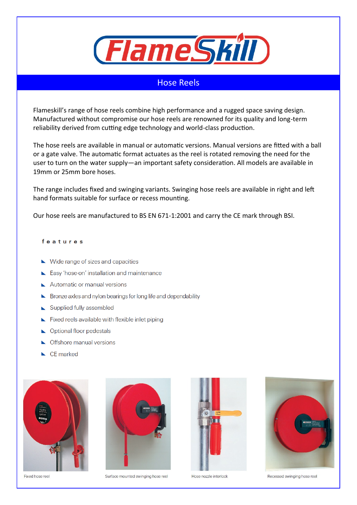

# Hose Reels

Flameskill's range of hose reels combine high performance and a rugged space saving design. Manufactured without compromise our hose reels are renowned for its quality and long-term reliability derived from cutting edge technology and world-class production.

The hose reels are available in manual or automatic versions. Manual versions are fitted with a ball or a gate valve. The automatic format actuates as the reel is rotated removing the need for the user to turn on the water supply—an important safety consideration. All models are available in 19mm or 25mm bore hoses.

The range includes fixed and swinging variants. Swinging hose reels are available in right and left hand formats suitable for surface or recess mounting.

Our hose reels are manufactured to BS EN 671-1:2001 and carry the CE mark through BSI.

## features

- $\blacktriangleright$  Wide range of sizes and capacities
- Easy 'hose-on' installation and maintenance
- Automatic or manual versions
- External Bronze axles and nylon bearings for long life and dependability
- Supplied fully assembled
- Fixed reels available with flexible inlet piping
- Optional floor pedestals
- Offshore manual versions
- $\blacktriangle$  CE marked



Fixed hose reel



Surface mounted swinging hose reel





Hose nozzle interlock

Recessed swinging hose reel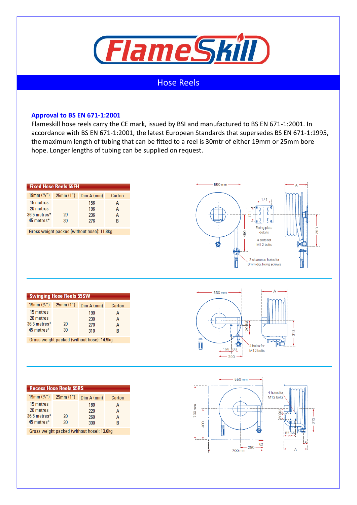

# Hose Reels

## **Approval to BS EN 671-1:2001**

Flameskill hose reels carry the CE mark, issued by BSI and manufactured to BS EN 671-1:2001. In accordance with BS EN 671-1:2001, the latest European Standards that supersedes BS EN 671-1:1995, the maximum length of tubing that can be fitted to a reel is 30mtr of either 19mm or 25mm bore hope. Longer lengths of tubing can be supplied on request.

| <b>Fixed Hose Reels 55FH</b>               |          |            |        |  |
|--------------------------------------------|----------|------------|--------|--|
| 19mm $(3/4)$                               | 25mm(1") | Dim A (mm) | Carton |  |
| 15 metres                                  |          | 156        | А      |  |
| 20 metres                                  |          | 196        | A      |  |
| 36.5 metres*                               | 20       | 236        | A      |  |
| 45 metres*                                 | 30       | 276        | R      |  |
|                                            |          |            |        |  |
| Gross weight packed (without hose): 11.8kg |          |            |        |  |



| <b>Swinging Hose Reels 55SW</b>                      |          |                          |             |  |
|------------------------------------------------------|----------|--------------------------|-------------|--|
| 19mm $(3/4)$                                         | 25mm(1") | Dim A (mm)               | Carton      |  |
| 15 metres<br>20 metres<br>36.5 metres*<br>45 metres* | 20<br>30 | 190<br>230<br>270<br>310 | А<br>А<br>R |  |

Gross weight packed (without hose): 14.9kg



| <b>Recess Hose Reels 55RS</b>              |          |            |        |
|--------------------------------------------|----------|------------|--------|
| 19mm $(3/4)$                               | 25mm(1") | Dim A (mm) | Carton |
| 15 metres                                  |          | 180        | А      |
| 20 metres                                  |          | 220        | A      |
| 36.5 metres*                               | 20       | 260        | А      |
| 45 metres*                                 | 30       | 300        | B      |
| Gross weight packed (without hose): 13.6kg |          |            |        |